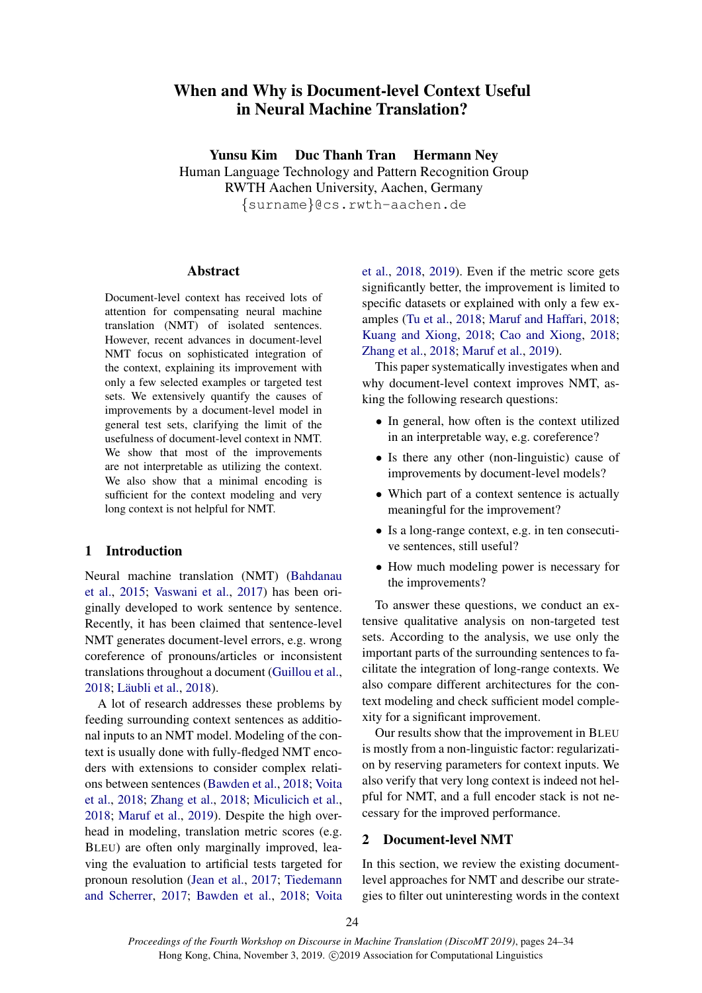# When and Why is Document-level Context Useful in Neural Machine Translation?

Yunsu Kim Duc Thanh Tran Hermann Ney

Human Language Technology and Pattern Recognition Group RWTH Aachen University, Aachen, Germany {surname}@cs.rwth-aachen.de

### Abstract

Document-level context has received lots of attention for compensating neural machine translation (NMT) of isolated sentences. However, recent advances in document-level NMT focus on sophisticated integration of the context, explaining its improvement with only a few selected examples or targeted test sets. We extensively quantify the causes of improvements by a document-level model in general test sets, clarifying the limit of the usefulness of document-level context in NMT. We show that most of the improvements are not interpretable as utilizing the context. We also show that a minimal encoding is sufficient for the context modeling and very long context is not helpful for NMT.

# <span id="page-0-1"></span>1 Introduction

Neural machine translation (NMT) [\(Bahdanau](#page-9-0) [et al.,](#page-9-0) [2015;](#page-9-0) [Vaswani et al.,](#page-10-0) [2017\)](#page-10-0) has been originally developed to work sentence by sentence. Recently, it has been claimed that sentence-level NMT generates document-level errors, e.g. wrong coreference of pronouns/articles or inconsistent translations throughout a document [\(Guillou et al.,](#page-9-1) [2018;](#page-9-1) Läubli et al., [2018\)](#page-9-2).

A lot of research addresses these problems by feeding surrounding context sentences as additional inputs to an NMT model. Modeling of the context is usually done with fully-fledged NMT encoders with extensions to consider complex relations between sentences [\(Bawden et al.,](#page-9-3) [2018;](#page-9-3) [Voita](#page-10-1) [et al.,](#page-10-1) [2018;](#page-10-1) [Zhang et al.,](#page-10-2) [2018;](#page-10-2) [Miculicich et al.,](#page-9-4) [2018;](#page-9-4) [Maruf et al.,](#page-9-5) [2019\)](#page-9-5). Despite the high overhead in modeling, translation metric scores (e.g. BLEU) are often only marginally improved, leaving the evaluation to artificial tests targeted for pronoun resolution [\(Jean et al.,](#page-9-6) [2017;](#page-9-6) [Tiedemann](#page-10-3) [and Scherrer,](#page-10-3) [2017;](#page-10-3) [Bawden et al.,](#page-9-3) [2018;](#page-9-3) [Voita](#page-10-1)

[et al.,](#page-10-1) [2018,](#page-10-1) [2019\)](#page-10-4). Even if the metric score gets significantly better, the improvement is limited to specific datasets or explained with only a few examples [\(Tu et al.,](#page-10-5) [2018;](#page-10-5) [Maruf and Haffari,](#page-9-7) [2018;](#page-9-7) [Kuang and Xiong,](#page-9-8) [2018;](#page-9-8) [Cao and Xiong,](#page-9-9) [2018;](#page-9-9) [Zhang et al.,](#page-10-2) [2018;](#page-10-2) [Maruf et al.,](#page-9-5) [2019\)](#page-9-5).

This paper systematically investigates when and why document-level context improves NMT, asking the following research questions:

- In general, how often is the context utilized in an interpretable way, e.g. coreference?
- Is there any other (non-linguistic) cause of improvements by document-level models?
- Which part of a context sentence is actually meaningful for the improvement?
- Is a long-range context, e.g. in ten consecutive sentences, still useful?
- How much modeling power is necessary for the improvements?

To answer these questions, we conduct an extensive qualitative analysis on non-targeted test sets. According to the analysis, we use only the important parts of the surrounding sentences to facilitate the integration of long-range contexts. We also compare different architectures for the context modeling and check sufficient model complexity for a significant improvement.

Our results show that the improvement in BLEU is mostly from a non-linguistic factor: regularization by reserving parameters for context inputs. We also verify that very long context is indeed not helpful for NMT, and a full encoder stack is not necessary for the improved performance.

# <span id="page-0-0"></span>2 Document-level NMT

In this section, we review the existing documentlevel approaches for NMT and describe our strategies to filter out uninteresting words in the context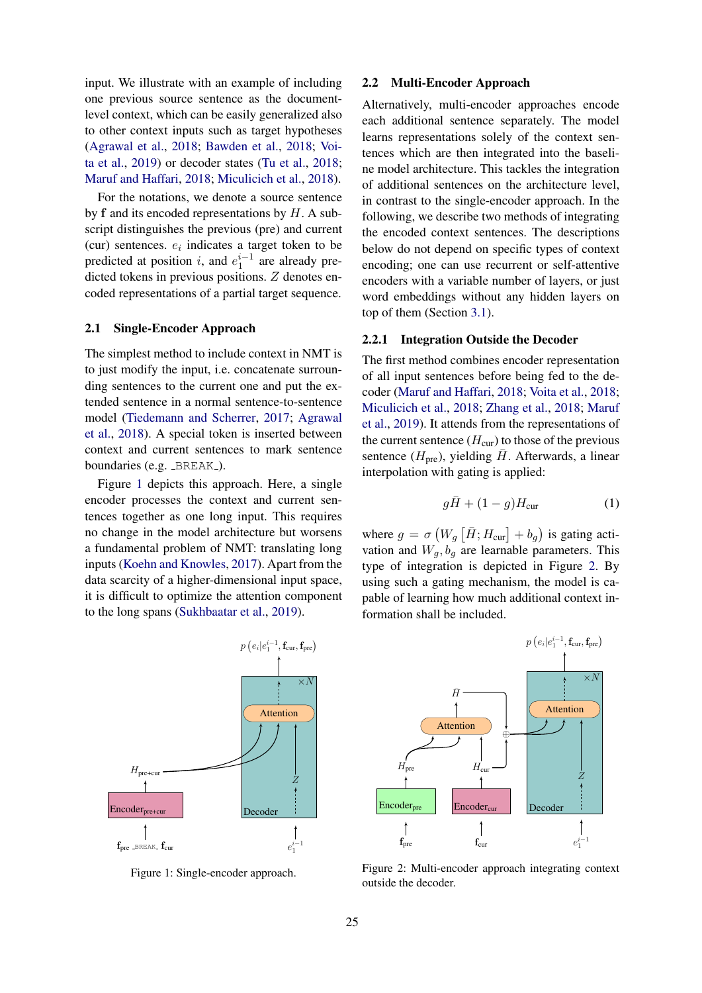input. We illustrate with an example of including one previous source sentence as the documentlevel context, which can be easily generalized also to other context inputs such as target hypotheses [\(Agrawal et al.,](#page-9-10) [2018;](#page-9-10) [Bawden et al.,](#page-9-3) [2018;](#page-9-3) [Voi](#page-10-4)[ta et al.,](#page-10-4) [2019\)](#page-10-4) or decoder states [\(Tu et al.,](#page-10-5) [2018;](#page-10-5) [Maruf and Haffari,](#page-9-7) [2018;](#page-9-7) [Miculicich et al.,](#page-9-4) [2018\)](#page-9-4).

For the notations, we denote a source sentence by  $f$  and its encoded representations by  $H$ . A subscript distinguishes the previous (pre) and current (cur) sentences.  $e_i$  indicates a target token to be predicted at position *i*, and  $e_1^{i-1}$  are already predicted tokens in previous positions. Z denotes encoded representations of a partial target sequence.

# 2.1 Single-Encoder Approach

The simplest method to include context in NMT is to just modify the input, i.e. concatenate surrounding sentences to the current one and put the extended sentence in a normal sentence-to-sentence model [\(Tiedemann and Scherrer,](#page-10-3) [2017;](#page-10-3) [Agrawal](#page-9-10) [et al.,](#page-9-10) [2018\)](#page-9-10). A special token is inserted between context and current sentences to mark sentence boundaries (e.g. \_BREAK\_).

Figure [1](#page-1-0) depicts this approach. Here, a single encoder processes the context and current sentences together as one long input. This requires no change in the model architecture but worsens a fundamental problem of NMT: translating long inputs [\(Koehn and Knowles,](#page-9-11) [2017\)](#page-9-11). Apart from the data scarcity of a higher-dimensional input space, it is difficult to optimize the attention component to the long spans [\(Sukhbaatar et al.,](#page-10-6) [2019\)](#page-10-6).

<span id="page-1-0"></span>

Figure 1: Single-encoder approach.

### 2.2 Multi-Encoder Approach

Alternatively, multi-encoder approaches encode each additional sentence separately. The model learns representations solely of the context sentences which are then integrated into the baseline model architecture. This tackles the integration of additional sentences on the architecture level, in contrast to the single-encoder approach. In the following, we describe two methods of integrating the encoded context sentences. The descriptions below do not depend on specific types of context encoding; one can use recurrent or self-attentive encoders with a variable number of layers, or just word embeddings without any hidden layers on top of them (Section [3.1\)](#page-3-0).

#### <span id="page-1-2"></span>2.2.1 Integration Outside the Decoder

The first method combines encoder representation of all input sentences before being fed to the decoder [\(Maruf and Haffari,](#page-9-7) [2018;](#page-9-7) [Voita et al.,](#page-10-1) [2018;](#page-10-1) [Miculicich et al.,](#page-9-4) [2018;](#page-9-4) [Zhang et al.,](#page-10-2) [2018;](#page-10-2) [Maruf](#page-9-5) [et al.,](#page-9-5) [2019\)](#page-9-5). It attends from the representations of the current sentence  $(H_{cur})$  to those of the previous sentence  $(H_{pre})$ , yielding  $\overline{H}$ . Afterwards, a linear interpolation with gating is applied:

<span id="page-1-3"></span>
$$
g\bar{H} + (1-g)H_{\text{cur}} \tag{1}
$$

where  $g = \sigma(W_g \left[ \bar{H}; H_{\text{cur}} \right] + b_g)$  is gating activation and  $W_g$ ,  $b_g$  are learnable parameters. This type of integration is depicted in Figure [2.](#page-1-1) By using such a gating mechanism, the model is capable of learning how much additional context information shall be included.

<span id="page-1-1"></span>

Figure 2: Multi-encoder approach integrating context outside the decoder.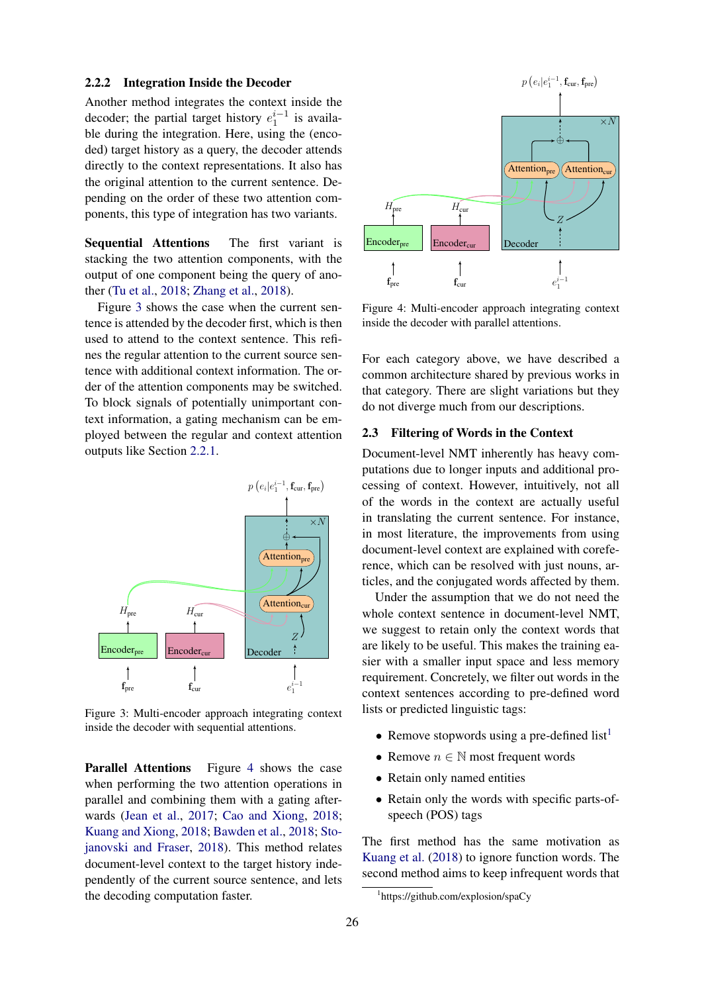#### 2.2.2 Integration Inside the Decoder

Another method integrates the context inside the decoder; the partial target history  $e_1^{i-1}$  is available during the integration. Here, using the (encoded) target history as a query, the decoder attends directly to the context representations. It also has the original attention to the current sentence. Depending on the order of these two attention components, this type of integration has two variants.

Sequential Attentions The first variant is stacking the two attention components, with the output of one component being the query of another [\(Tu et al.,](#page-10-5) [2018;](#page-10-5) [Zhang et al.,](#page-10-2) [2018\)](#page-10-2).

Figure [3](#page-2-0) shows the case when the current sentence is attended by the decoder first, which is then used to attend to the context sentence. This refines the regular attention to the current source sentence with additional context information. The order of the attention components may be switched. To block signals of potentially unimportant context information, a gating mechanism can be employed between the regular and context attention outputs like Section [2.2.1.](#page-1-2)

<span id="page-2-0"></span>

Figure 3: Multi-encoder approach integrating context inside the decoder with sequential attentions.

Parallel Attentions Figure [4](#page-2-1) shows the case when performing the two attention operations in parallel and combining them with a gating afterwards [\(Jean et al.,](#page-9-6) [2017;](#page-9-6) [Cao and Xiong,](#page-9-9) [2018;](#page-9-9) [Kuang and Xiong,](#page-9-8) [2018;](#page-9-8) [Bawden et al.,](#page-9-3) [2018;](#page-9-3) [Sto](#page-10-7)[janovski and Fraser,](#page-10-7) [2018\)](#page-10-7). This method relates document-level context to the target history independently of the current source sentence, and lets the decoding computation faster.

<span id="page-2-1"></span>

Figure 4: Multi-encoder approach integrating context inside the decoder with parallel attentions.

For each category above, we have described a common architecture shared by previous works in that category. There are slight variations but they do not diverge much from our descriptions.

# <span id="page-2-3"></span>2.3 Filtering of Words in the Context

Document-level NMT inherently has heavy computations due to longer inputs and additional processing of context. However, intuitively, not all of the words in the context are actually useful in translating the current sentence. For instance, in most literature, the improvements from using document-level context are explained with coreference, which can be resolved with just nouns, articles, and the conjugated words affected by them.

Under the assumption that we do not need the whole context sentence in document-level NMT, we suggest to retain only the context words that are likely to be useful. This makes the training easier with a smaller input space and less memory requirement. Concretely, we filter out words in the context sentences according to pre-defined word lists or predicted linguistic tags:

- Remove stopwords using a pre-defined list<sup>[1](#page-2-2)</sup>
- Remove  $n \in \mathbb{N}$  most frequent words
- Retain only named entities
- Retain only the words with specific parts-ofspeech (POS) tags

The first method has the same motivation as [Kuang et al.](#page-9-12) [\(2018\)](#page-9-12) to ignore function words. The second method aims to keep infrequent words that

<span id="page-2-2"></span><sup>1</sup> https://github.com/explosion/spaCy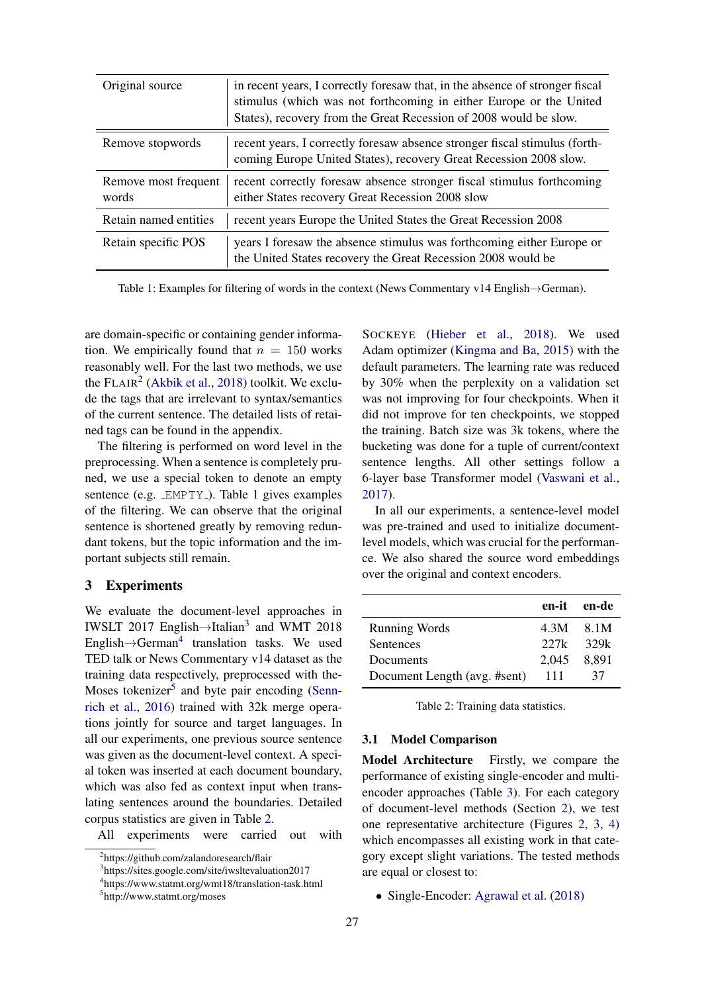<span id="page-3-2"></span>

| Original source               | in recent years, I correctly foresaw that, in the absence of stronger fiscal<br>stimulus (which was not forthcoming in either Europe or the United<br>States), recovery from the Great Recession of 2008 would be slow. |
|-------------------------------|-------------------------------------------------------------------------------------------------------------------------------------------------------------------------------------------------------------------------|
| Remove stopwords              | recent years, I correctly foresaw absence stronger fiscal stimulus (forth-<br>coming Europe United States), recovery Great Recession 2008 slow.                                                                         |
| Remove most frequent<br>words | recent correctly foresaw absence stronger fiscal stimulus forthcoming<br>either States recovery Great Recession 2008 slow                                                                                               |
| Retain named entities         | recent years Europe the United States the Great Recession 2008                                                                                                                                                          |
| Retain specific POS           | years I foresaw the absence stimulus was forthcoming either Europe or<br>the United States recovery the Great Recession 2008 would be                                                                                   |

Table 1: Examples for filtering of words in the context (News Commentary v14 English→German).

are domain-specific or containing gender information. We empirically found that  $n = 150$  works reasonably well. For the last two methods, we use the  $FLAIR<sup>2</sup>$  $FLAIR<sup>2</sup>$  $FLAIR<sup>2</sup>$  [\(Akbik et al.,](#page-9-13) [2018\)](#page-9-13) toolkit. We exclude the tags that are irrelevant to syntax/semantics of the current sentence. The detailed lists of retained tags can be found in the appendix.

The filtering is performed on word level in the preprocessing. When a sentence is completely pruned, we use a special token to denote an empty sentence (e.g. LEMPTY<sub>-</sub>). Table [1](#page-3-2) gives examples of the filtering. We can observe that the original sentence is shortened greatly by removing redundant tokens, but the topic information and the important subjects still remain.

# 3 Experiments

We evaluate the document-level approaches in IWSLT 2017 English→Italian[3](#page-3-3) and WMT 2018 English $\rightarrow$ German<sup>[4](#page-3-4)</sup> translation tasks. We used TED talk or News Commentary v14 dataset as the training data respectively, preprocessed with the-Moses tokenizer<sup>[5](#page-3-5)</sup> and byte pair encoding [\(Senn](#page-10-8)[rich et al.,](#page-10-8) [2016\)](#page-10-8) trained with 32k merge operations jointly for source and target languages. In all our experiments, one previous source sentence was given as the document-level context. A special token was inserted at each document boundary, which was also fed as context input when translating sentences around the boundaries. Detailed corpus statistics are given in Table [2.](#page-3-6)

All experiments were carried out with

SOCKEYE [\(Hieber et al.,](#page-9-14) [2018\)](#page-9-14). We used Adam optimizer [\(Kingma and Ba,](#page-9-15) [2015\)](#page-9-15) with the default parameters. The learning rate was reduced by 30% when the perplexity on a validation set was not improving for four checkpoints. When it did not improve for ten checkpoints, we stopped the training. Batch size was 3k tokens, where the bucketing was done for a tuple of current/context sentence lengths. All other settings follow a 6-layer base Transformer model [\(Vaswani et al.,](#page-10-0) [2017\)](#page-10-0).

In all our experiments, a sentence-level model was pre-trained and used to initialize documentlevel models, which was crucial for the performance. We also shared the source word embeddings over the original and context encoders.

<span id="page-3-6"></span>

|                              |             | en-it en-de |
|------------------------------|-------------|-------------|
| <b>Running Words</b>         |             | 4.3M 8.1M   |
| <b>Sentences</b>             | 227k        | 329k        |
| Documents                    | 2,045 8,891 |             |
| Document Length (avg. #sent) | -111        | 37          |

Table 2: Training data statistics.

#### <span id="page-3-0"></span>3.1 Model Comparison

Model Architecture Firstly, we compare the performance of existing single-encoder and multiencoder approaches (Table [3\)](#page-4-0). For each category of document-level methods (Section [2\)](#page-0-0), we test one representative architecture (Figures [2,](#page-1-1) [3,](#page-2-0) [4\)](#page-2-1) which encompasses all existing work in that category except slight variations. The tested methods are equal or closest to:

• Single-Encoder: [Agrawal et al.](#page-9-10) [\(2018\)](#page-9-10)

<span id="page-3-1"></span><sup>2</sup> https://github.com/zalandoresearch/flair

<span id="page-3-3"></span><sup>3</sup> https://sites.google.com/site/iwsltevaluation2017

<span id="page-3-4"></span><sup>4</sup> https://www.statmt.org/wmt18/translation-task.html

<span id="page-3-5"></span><sup>5</sup> http://www.statmt.org/moses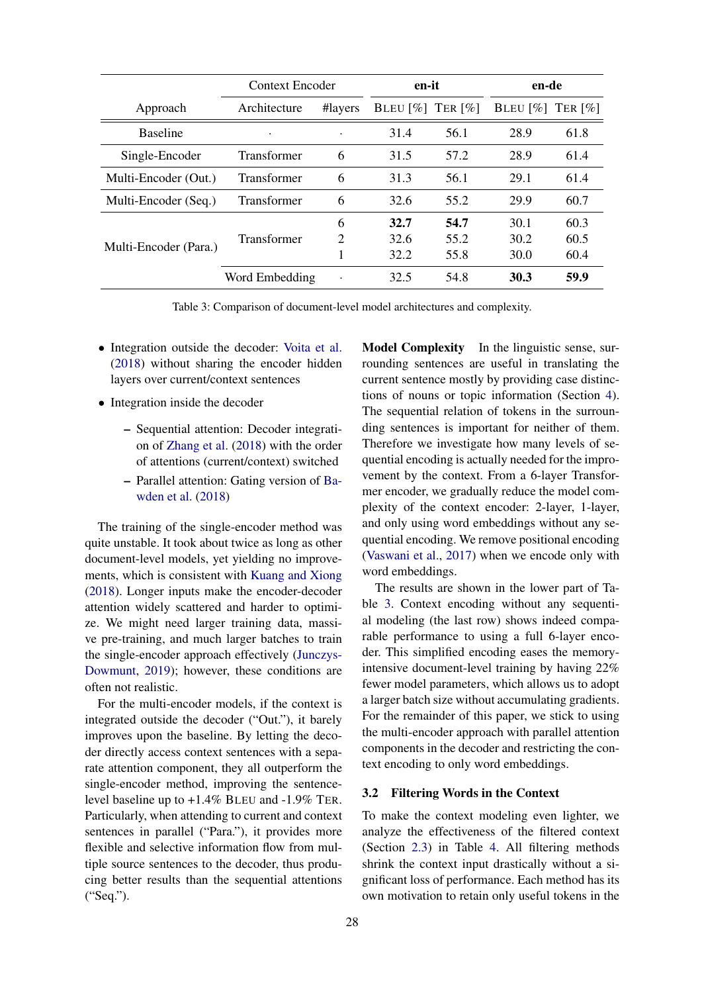<span id="page-4-0"></span>

|                       | Context Encoder    |                             | en-it                  |                        | en-de                                          |      |
|-----------------------|--------------------|-----------------------------|------------------------|------------------------|------------------------------------------------|------|
| Approach              | Architecture       | #layers                     | BLEU $\lceil\% \rceil$ | TER $\lceil \% \rceil$ | BLEU $\lceil \% \rceil$ TER $\lceil \% \rceil$ |      |
| <b>Baseline</b>       | ٠                  |                             | 31.4                   | 56.1                   | 28.9                                           | 61.8 |
| Single-Encoder        | <b>Transformer</b> | 6                           | 31.5                   | 57.2                   | 28.9                                           | 61.4 |
| Multi-Encoder (Out.)  | <b>Transformer</b> | 6                           | 31.3                   | 56.1                   | 29.1                                           | 61.4 |
| Multi-Encoder (Seq.)  | <b>Transformer</b> | 6                           | 32.6                   | 55.2                   | 29.9                                           | 60.7 |
|                       |                    | 6                           | 32.7                   | 54.7                   | 30.1                                           | 60.3 |
| Multi-Encoder (Para.) | <b>Transformer</b> | $\mathcal{D}_{\mathcal{A}}$ | 32.6                   | 55.2                   | 30.2                                           | 60.5 |
|                       |                    |                             | 32.2                   | 55.8                   | 30.0                                           | 60.4 |
|                       | Word Embedding     | $\cdot$                     | 32.5                   | 54.8                   | 30.3                                           | 59.9 |

Table 3: Comparison of document-level model architectures and complexity.

- Integration outside the decoder: [Voita et al.](#page-10-1) [\(2018\)](#page-10-1) without sharing the encoder hidden layers over current/context sentences
- Integration inside the decoder
	- Sequential attention: Decoder integration of [Zhang et al.](#page-10-2) [\(2018\)](#page-10-2) with the order of attentions (current/context) switched
	- Parallel attention: Gating version of [Ba](#page-9-3)[wden et al.](#page-9-3) [\(2018\)](#page-9-3)

The training of the single-encoder method was quite unstable. It took about twice as long as other document-level models, yet yielding no improvements, which is consistent with [Kuang and Xiong](#page-9-8) [\(2018\)](#page-9-8). Longer inputs make the encoder-decoder attention widely scattered and harder to optimize. We might need larger training data, massive pre-training, and much larger batches to train the single-encoder approach effectively [\(Junczys-](#page-9-16)[Dowmunt,](#page-9-16) [2019\)](#page-9-16); however, these conditions are often not realistic.

For the multi-encoder models, if the context is integrated outside the decoder ("Out."), it barely improves upon the baseline. By letting the decoder directly access context sentences with a separate attention component, they all outperform the single-encoder method, improving the sentencelevel baseline up to +1.4% BLEU and -1.9% TER. Particularly, when attending to current and context sentences in parallel ("Para."), it provides more flexible and selective information flow from multiple source sentences to the decoder, thus producing better results than the sequential attentions ("Seq.").

Model Complexity In the linguistic sense, surrounding sentences are useful in translating the current sentence mostly by providing case distinctions of nouns or topic information (Section [4\)](#page-5-0). The sequential relation of tokens in the surrounding sentences is important for neither of them. Therefore we investigate how many levels of sequential encoding is actually needed for the improvement by the context. From a 6-layer Transformer encoder, we gradually reduce the model complexity of the context encoder: 2-layer, 1-layer, and only using word embeddings without any sequential encoding. We remove positional encoding [\(Vaswani et al.,](#page-10-0) [2017\)](#page-10-0) when we encode only with word embeddings.

The results are shown in the lower part of Table [3.](#page-4-0) Context encoding without any sequential modeling (the last row) shows indeed comparable performance to using a full 6-layer encoder. This simplified encoding eases the memoryintensive document-level training by having 22% fewer model parameters, which allows us to adopt a larger batch size without accumulating gradients. For the remainder of this paper, we stick to using the multi-encoder approach with parallel attention components in the decoder and restricting the context encoding to only word embeddings.

# <span id="page-4-1"></span>3.2 Filtering Words in the Context

To make the context modeling even lighter, we analyze the effectiveness of the filtered context (Section [2.3\)](#page-2-3) in Table [4.](#page-5-1) All filtering methods shrink the context input drastically without a significant loss of performance. Each method has its own motivation to retain only useful tokens in the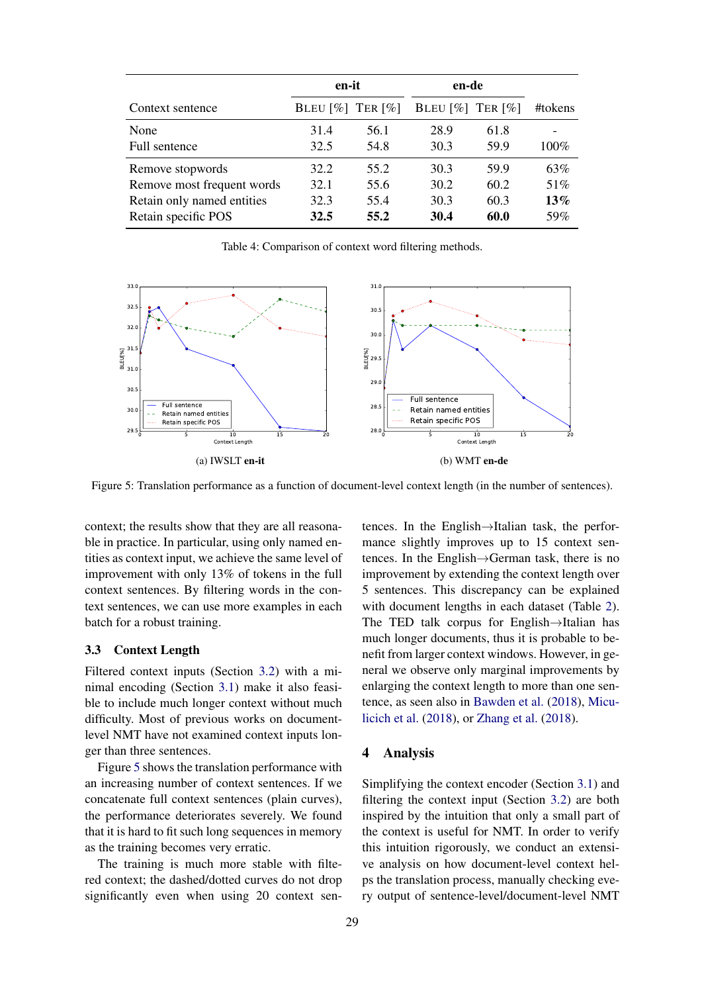<span id="page-5-1"></span>

|                            | en-it                                        |      | en-de                                        |      |         |
|----------------------------|----------------------------------------------|------|----------------------------------------------|------|---------|
| Context sentence           | BLEU $\lceil\% \rceil$ TER $\lceil\% \rceil$ |      | BLEU $\lceil\% \rceil$ TER $\lceil\% \rceil$ |      | #tokens |
| None                       | 31.4                                         | 56.1 | 28.9                                         | 61.8 |         |
| Full sentence              | 32.5                                         | 54.8 | 30.3                                         | 59.9 | $100\%$ |
| Remove stopwords           | 32.2                                         | 55.2 | 30.3                                         | 59.9 | 63%     |
| Remove most frequent words | 32.1                                         | 55.6 | 30.2                                         | 60.2 | 51%     |
| Retain only named entities | 32.3                                         | 55.4 | 30.3                                         | 60.3 | 13%     |
| Retain specific POS        | 32.5                                         | 55.2 | 30.4                                         | 60.0 | 59%     |

Table 4: Comparison of context word filtering methods.

<span id="page-5-2"></span>

Figure 5: Translation performance as a function of document-level context length (in the number of sentences).

context; the results show that they are all reasonable in practice. In particular, using only named entities as context input, we achieve the same level of improvement with only 13% of tokens in the full context sentences. By filtering words in the context sentences, we can use more examples in each batch for a robust training.

### 3.3 Context Length

Filtered context inputs (Section [3.2\)](#page-4-1) with a minimal encoding (Section [3.1\)](#page-3-0) make it also feasible to include much longer context without much difficulty. Most of previous works on documentlevel NMT have not examined context inputs longer than three sentences.

Figure [5](#page-5-2) shows the translation performance with an increasing number of context sentences. If we concatenate full context sentences (plain curves), the performance deteriorates severely. We found that it is hard to fit such long sequences in memory as the training becomes very erratic.

The training is much more stable with filtered context; the dashed/dotted curves do not drop significantly even when using 20 context sentences. In the English→Italian task, the performance slightly improves up to 15 context sentences. In the English→German task, there is no improvement by extending the context length over 5 sentences. This discrepancy can be explained with document lengths in each dataset (Table [2\)](#page-3-6). The TED talk corpus for English→Italian has much longer documents, thus it is probable to benefit from larger context windows. However, in general we observe only marginal improvements by enlarging the context length to more than one sentence, as seen also in [Bawden et al.](#page-9-3) [\(2018\)](#page-9-3), [Micu](#page-9-4)[licich et al.](#page-9-4) [\(2018\)](#page-9-4), or [Zhang et al.](#page-10-2) [\(2018\)](#page-10-2).

### <span id="page-5-0"></span>4 Analysis

Simplifying the context encoder (Section [3.1\)](#page-3-0) and filtering the context input (Section [3.2\)](#page-4-1) are both inspired by the intuition that only a small part of the context is useful for NMT. In order to verify this intuition rigorously, we conduct an extensive analysis on how document-level context helps the translation process, manually checking every output of sentence-level/document-level NMT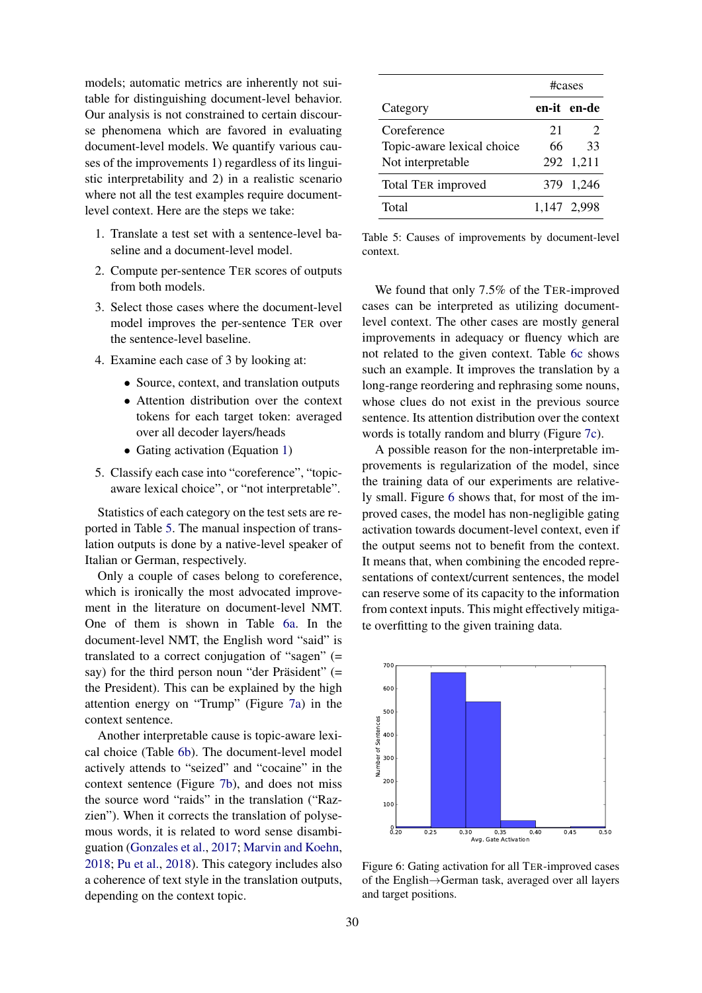models; automatic metrics are inherently not suitable for distinguishing document-level behavior. Our analysis is not constrained to certain discourse phenomena which are favored in evaluating document-level models. We quantify various causes of the improvements 1) regardless of its linguistic interpretability and 2) in a realistic scenario where not all the test examples require documentlevel context. Here are the steps we take:

- 1. Translate a test set with a sentence-level baseline and a document-level model.
- 2. Compute per-sentence TER scores of outputs from both models.
- 3. Select those cases where the document-level model improves the per-sentence TER over the sentence-level baseline.
- 4. Examine each case of 3 by looking at:
	- Source, context, and translation outputs
	- Attention distribution over the context tokens for each target token: averaged over all decoder layers/heads
	- Gating activation (Equation [1\)](#page-1-3)
- 5. Classify each case into "coreference", "topicaware lexical choice", or "not interpretable".

Statistics of each category on the test sets are reported in Table [5.](#page-6-0) The manual inspection of translation outputs is done by a native-level speaker of Italian or German, respectively.

Only a couple of cases belong to coreference, which is ironically the most advocated improvement in the literature on document-level NMT. One of them is shown in Table [6a.](#page-7-0) In the document-level NMT, the English word "said" is translated to a correct conjugation of "sagen" (= say) for the third person noun "der Präsident"  $(=$ the President). This can be explained by the high attention energy on "Trump" (Figure [7a\)](#page-7-1) in the context sentence.

Another interpretable cause is topic-aware lexical choice (Table [6b\)](#page-7-0). The document-level model actively attends to "seized" and "cocaine" in the context sentence (Figure [7b\)](#page-7-1), and does not miss the source word "raids" in the translation ("Razzien"). When it corrects the translation of polysemous words, it is related to word sense disambiguation [\(Gonzales et al.,](#page-9-17) [2017;](#page-9-17) [Marvin and Koehn,](#page-9-18) [2018;](#page-9-18) [Pu et al.,](#page-9-19) [2018\)](#page-9-19). This category includes also a coherence of text style in the translation outputs, depending on the context topic.

<span id="page-6-0"></span>

|                            | #cases |                |  |
|----------------------------|--------|----------------|--|
| Category                   |        | en-it en-de    |  |
| Coreference                | 21     | $\overline{2}$ |  |
| Topic-aware lexical choice | 66     | 33             |  |
| Not interpretable          |        | 292 1,211      |  |
| <b>Total TER improved</b>  |        | 379 1,246      |  |
| Total                      |        | 1.147 2.998    |  |

Table 5: Causes of improvements by document-level context.

We found that only 7.5% of the TER-improved cases can be interpreted as utilizing documentlevel context. The other cases are mostly general improvements in adequacy or fluency which are not related to the given context. Table [6c](#page-7-0) shows such an example. It improves the translation by a long-range reordering and rephrasing some nouns, whose clues do not exist in the previous source sentence. Its attention distribution over the context words is totally random and blurry (Figure [7c\)](#page-7-1).

A possible reason for the non-interpretable improvements is regularization of the model, since the training data of our experiments are relatively small. Figure [6](#page-6-1) shows that, for most of the improved cases, the model has non-negligible gating activation towards document-level context, even if the output seems not to benefit from the context. It means that, when combining the encoded representations of context/current sentences, the model can reserve some of its capacity to the information from context inputs. This might effectively mitigate overfitting to the given training data.

<span id="page-6-1"></span>

Figure 6: Gating activation for all TER-improved cases of the English→German task, averaged over all layers and target positions.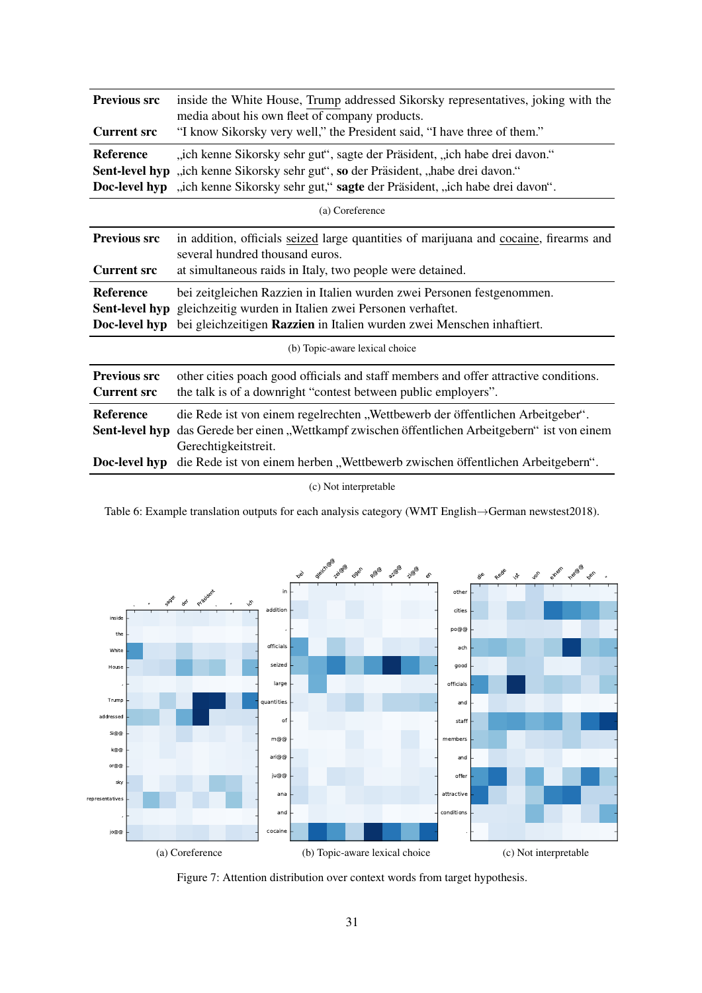<span id="page-7-0"></span>

| <b>Previous src</b><br><b>Current src</b> | inside the White House, Trump addressed Sikorsky representatives, joking with the<br>media about his own fleet of company products.<br>"I know Sikorsky very well," the President said, "I have three of them."                                |
|-------------------------------------------|------------------------------------------------------------------------------------------------------------------------------------------------------------------------------------------------------------------------------------------------|
| <b>Reference</b><br>Doc-level hyp         | "ich kenne Sikorsky sehr gut", sagte der Präsident, "ich habe drei davon."<br>Sent-level hyp "ich kenne Sikorsky sehr gut", so der Präsident, "habe drei davon."<br>"ich kenne Sikorsky sehr gut," sagte der Präsident, "ich habe drei davon". |
|                                           | (a) Coreference                                                                                                                                                                                                                                |
| <b>Previous src</b>                       | in addition, officials seized large quantities of marijuana and cocaine, firearms and<br>several hundred thousand euros.                                                                                                                       |
| <b>Current src</b>                        | at simultaneous raids in Italy, two people were detained.                                                                                                                                                                                      |
| <b>Reference</b><br>Doc-level hyp         | bei zeitgleichen Razzien in Italien wurden zwei Personen festgenommen.<br>Sent-level hyp gleichzeitig wurden in Italien zwei Personen verhaftet.<br>bei gleichzeitigen Razzien in Italien wurden zwei Menschen inhaftiert.                     |
|                                           | (b) Topic-aware lexical choice                                                                                                                                                                                                                 |
| <b>Previous src</b><br><b>Current src</b> | other cities poach good officials and staff members and offer attractive conditions.<br>the talk is of a downright "contest between public employers".                                                                                         |
| <b>Reference</b><br>Sent-level hyp        | die Rede ist von einem regelrechten "Wettbewerb der öffentlichen Arbeitgeber".<br>das Gerede ber einen "Wettkampf zwischen öffentlichen Arbeitgebern" ist von einem<br>Gerechtigkeitstreit.                                                    |
| Doc-level hyp                             | die Rede ist von einem herben "Wettbewerb zwischen öffentlichen Arbeitgebern".                                                                                                                                                                 |

(c) Not interpretable

Table 6: Example translation outputs for each analysis category (WMT English→German newstest2018).

<span id="page-7-1"></span>

Figure 7: Attention distribution over context words from target hypothesis.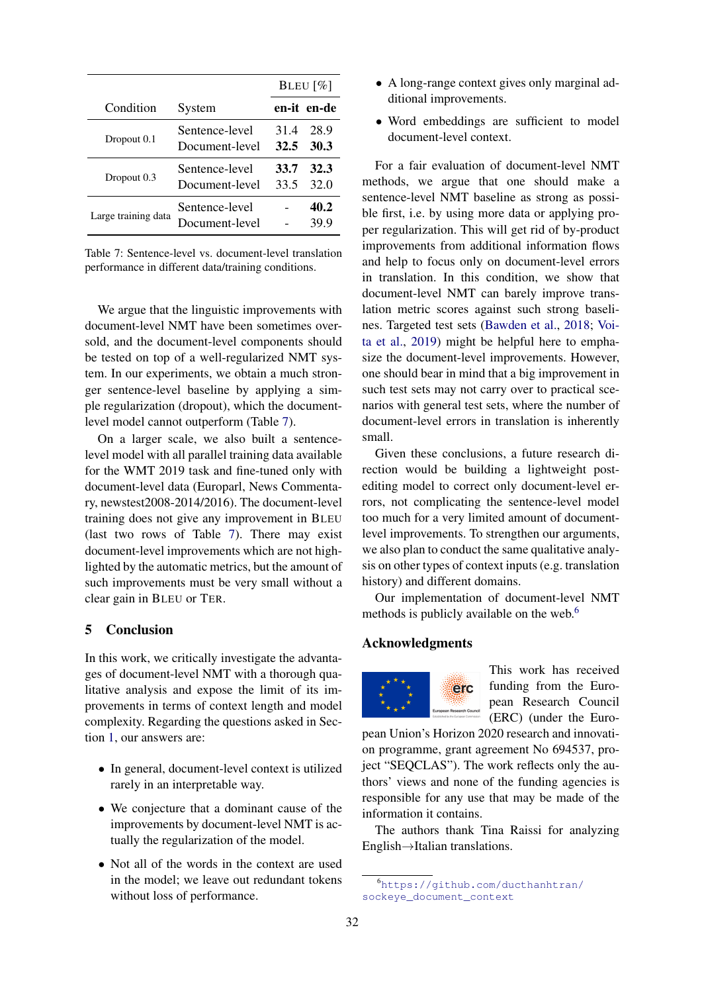<span id="page-8-0"></span>

|                     |                                  | BLEU $[\%]$  |              |  |
|---------------------|----------------------------------|--------------|--------------|--|
| Condition           | System                           |              | en-it en-de  |  |
| Dropout 0.1         | Sentence-level<br>Document-level | 31.4<br>32.5 | 28.9<br>30.3 |  |
| Dropout 0.3         | Sentence-level<br>Document-level | 33.7<br>33.5 | 32.3<br>32.0 |  |
| Large training data | Sentence-level<br>Document-level |              | 40.2<br>39.9 |  |

Table 7: Sentence-level vs. document-level translation performance in different data/training conditions.

We argue that the linguistic improvements with document-level NMT have been sometimes oversold, and the document-level components should be tested on top of a well-regularized NMT system. In our experiments, we obtain a much stronger sentence-level baseline by applying a simple regularization (dropout), which the documentlevel model cannot outperform (Table [7\)](#page-8-0).

On a larger scale, we also built a sentencelevel model with all parallel training data available for the WMT 2019 task and fine-tuned only with document-level data (Europarl, News Commentary, newstest2008-2014/2016). The document-level training does not give any improvement in BLEU (last two rows of Table [7\)](#page-8-0). There may exist document-level improvements which are not highlighted by the automatic metrics, but the amount of such improvements must be very small without a clear gain in BLEU or TER.

# 5 Conclusion

In this work, we critically investigate the advantages of document-level NMT with a thorough qualitative analysis and expose the limit of its improvements in terms of context length and model complexity. Regarding the questions asked in Section [1,](#page-0-1) our answers are:

- In general, document-level context is utilized rarely in an interpretable way.
- We conjecture that a dominant cause of the improvements by document-level NMT is actually the regularization of the model.
- Not all of the words in the context are used in the model; we leave out redundant tokens without loss of performance.
- A long-range context gives only marginal additional improvements.
- Word embeddings are sufficient to model document-level context.

For a fair evaluation of document-level NMT methods, we argue that one should make a sentence-level NMT baseline as strong as possible first, i.e. by using more data or applying proper regularization. This will get rid of by-product improvements from additional information flows and help to focus only on document-level errors in translation. In this condition, we show that document-level NMT can barely improve translation metric scores against such strong baselines. Targeted test sets [\(Bawden et al.,](#page-9-3) [2018;](#page-9-3) [Voi](#page-10-4)[ta et al.,](#page-10-4) [2019\)](#page-10-4) might be helpful here to emphasize the document-level improvements. However, one should bear in mind that a big improvement in such test sets may not carry over to practical scenarios with general test sets, where the number of document-level errors in translation is inherently small.

Given these conclusions, a future research direction would be building a lightweight postediting model to correct only document-level errors, not complicating the sentence-level model too much for a very limited amount of documentlevel improvements. To strengthen our arguments, we also plan to conduct the same qualitative analysis on other types of context inputs (e.g. translation history) and different domains.

Our implementation of document-level NMT methods is publicly available on the web.<sup>[6](#page-8-1)</sup>

# Acknowledgments



This work has received funding from the European Research Council (ERC) (under the Euro-

pean Union's Horizon 2020 research and innovation programme, grant agreement No 694537, project "SEQCLAS"). The work reflects only the authors' views and none of the funding agencies is responsible for any use that may be made of the information it contains.

The authors thank Tina Raissi for analyzing English→Italian translations.

<span id="page-8-1"></span><sup>6</sup>[https://github.com/ducthanhtran/](https://github.com/ducthanhtran/sockeye_document_context) [sockeye\\_document\\_context](https://github.com/ducthanhtran/sockeye_document_context)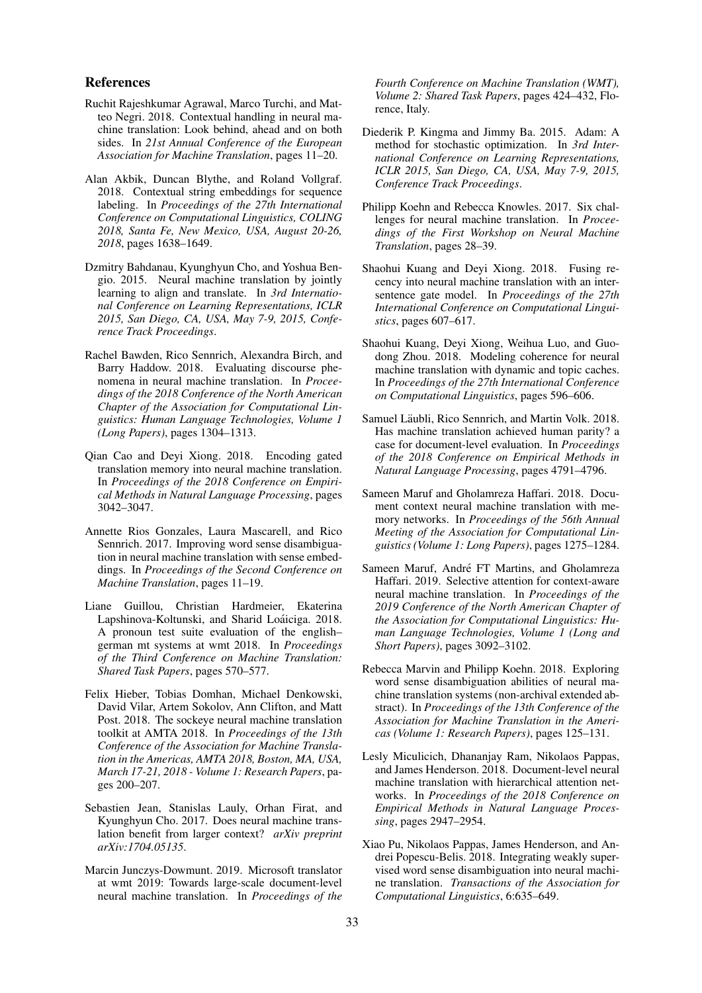### References

- <span id="page-9-10"></span>Ruchit Rajeshkumar Agrawal, Marco Turchi, and Matteo Negri. 2018. Contextual handling in neural machine translation: Look behind, ahead and on both sides. In *21st Annual Conference of the European Association for Machine Translation*, pages 11–20.
- <span id="page-9-13"></span>Alan Akbik, Duncan Blythe, and Roland Vollgraf. 2018. Contextual string embeddings for sequence labeling. In *Proceedings of the 27th International Conference on Computational Linguistics, COLING 2018, Santa Fe, New Mexico, USA, August 20-26, 2018*, pages 1638–1649.
- <span id="page-9-0"></span>Dzmitry Bahdanau, Kyunghyun Cho, and Yoshua Bengio. 2015. Neural machine translation by jointly learning to align and translate. In *3rd International Conference on Learning Representations, ICLR 2015, San Diego, CA, USA, May 7-9, 2015, Conference Track Proceedings*.
- <span id="page-9-3"></span>Rachel Bawden, Rico Sennrich, Alexandra Birch, and Barry Haddow. 2018. Evaluating discourse phenomena in neural machine translation. In *Proceedings of the 2018 Conference of the North American Chapter of the Association for Computational Linguistics: Human Language Technologies, Volume 1 (Long Papers)*, pages 1304–1313.
- <span id="page-9-9"></span>Qian Cao and Deyi Xiong. 2018. Encoding gated translation memory into neural machine translation. In *Proceedings of the 2018 Conference on Empirical Methods in Natural Language Processing*, pages 3042–3047.
- <span id="page-9-17"></span>Annette Rios Gonzales, Laura Mascarell, and Rico Sennrich. 2017. Improving word sense disambiguation in neural machine translation with sense embeddings. In *Proceedings of the Second Conference on Machine Translation*, pages 11–19.
- <span id="page-9-1"></span>Liane Guillou, Christian Hardmeier, Ekaterina Lapshinova-Koltunski, and Sharid Loáiciga. 2018. A pronoun test suite evaluation of the english– german mt systems at wmt 2018. In *Proceedings of the Third Conference on Machine Translation: Shared Task Papers*, pages 570–577.
- <span id="page-9-14"></span>Felix Hieber, Tobias Domhan, Michael Denkowski, David Vilar, Artem Sokolov, Ann Clifton, and Matt Post. 2018. The sockeye neural machine translation toolkit at AMTA 2018. In *Proceedings of the 13th Conference of the Association for Machine Translation in the Americas, AMTA 2018, Boston, MA, USA, March 17-21, 2018 - Volume 1: Research Papers*, pages 200–207.
- <span id="page-9-6"></span>Sebastien Jean, Stanislas Lauly, Orhan Firat, and Kyunghyun Cho. 2017. Does neural machine translation benefit from larger context? *arXiv preprint arXiv:1704.05135*.
- <span id="page-9-16"></span>Marcin Junczys-Dowmunt. 2019. Microsoft translator at wmt 2019: Towards large-scale document-level neural machine translation. In *Proceedings of the*

*Fourth Conference on Machine Translation (WMT), Volume 2: Shared Task Papers*, pages 424–432, Florence, Italy.

- <span id="page-9-15"></span>Diederik P. Kingma and Jimmy Ba. 2015. Adam: A method for stochastic optimization. In *3rd International Conference on Learning Representations, ICLR 2015, San Diego, CA, USA, May 7-9, 2015, Conference Track Proceedings*.
- <span id="page-9-11"></span>Philipp Koehn and Rebecca Knowles. 2017. Six challenges for neural machine translation. In *Proceedings of the First Workshop on Neural Machine Translation*, pages 28–39.
- <span id="page-9-8"></span>Shaohui Kuang and Deyi Xiong. 2018. Fusing recency into neural machine translation with an intersentence gate model. In *Proceedings of the 27th International Conference on Computational Linguistics*, pages 607–617.
- <span id="page-9-12"></span>Shaohui Kuang, Deyi Xiong, Weihua Luo, and Guodong Zhou. 2018. Modeling coherence for neural machine translation with dynamic and topic caches. In *Proceedings of the 27th International Conference on Computational Linguistics*, pages 596–606.
- <span id="page-9-2"></span>Samuel Läubli, Rico Sennrich, and Martin Volk. 2018. Has machine translation achieved human parity? a case for document-level evaluation. In *Proceedings of the 2018 Conference on Empirical Methods in Natural Language Processing*, pages 4791–4796.
- <span id="page-9-7"></span>Sameen Maruf and Gholamreza Haffari. 2018. Document context neural machine translation with memory networks. In *Proceedings of the 56th Annual Meeting of the Association for Computational Linguistics (Volume 1: Long Papers)*, pages 1275–1284.
- <span id="page-9-5"></span>Sameen Maruf, André FT Martins, and Gholamreza Haffari. 2019. Selective attention for context-aware neural machine translation. In *Proceedings of the 2019 Conference of the North American Chapter of the Association for Computational Linguistics: Human Language Technologies, Volume 1 (Long and Short Papers)*, pages 3092–3102.
- <span id="page-9-18"></span>Rebecca Marvin and Philipp Koehn. 2018. Exploring word sense disambiguation abilities of neural machine translation systems (non-archival extended abstract). In *Proceedings of the 13th Conference of the Association for Machine Translation in the Americas (Volume 1: Research Papers)*, pages 125–131.
- <span id="page-9-4"></span>Lesly Miculicich, Dhananjay Ram, Nikolaos Pappas, and James Henderson. 2018. Document-level neural machine translation with hierarchical attention networks. In *Proceedings of the 2018 Conference on Empirical Methods in Natural Language Processing*, pages 2947–2954.
- <span id="page-9-19"></span>Xiao Pu, Nikolaos Pappas, James Henderson, and Andrei Popescu-Belis. 2018. Integrating weakly supervised word sense disambiguation into neural machine translation. *Transactions of the Association for Computational Linguistics*, 6:635–649.